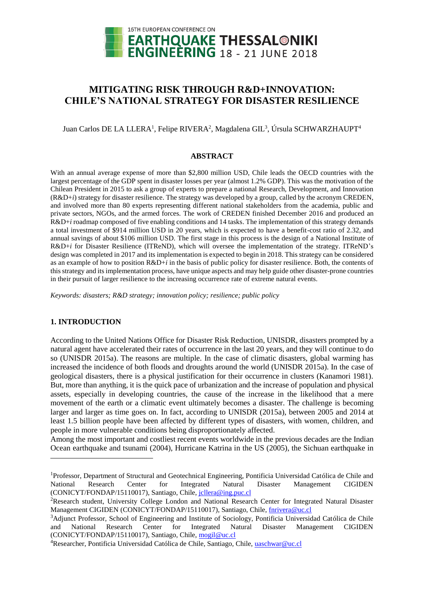

# **MITIGATING RISK THROUGH R&D+INNOVATION: CHILE'S NATIONAL STRATEGY FOR DISASTER RESILIENCE**

Juan Carlos DE LA LLERA<sup>1</sup>, Felipe RIVERA<sup>2</sup>, Magdalena GIL<sup>3</sup>, Úrsula SCHWARZHAUPT<sup>4</sup>

#### **ABSTRACT**

With an annual average expense of more than \$2,800 million USD, Chile leads the OECD countries with the largest percentage of the GDP spent in disaster losses per year (almost 1.2% GDP). This was the motivation of the Chilean President in 2015 to ask a group of experts to prepare a national Research, Development, and Innovation (R&D+*i*) strategy for disaster resilience. The strategy was developed by a group, called by the acronym CREDEN, and involved more than 80 experts representing different national stakeholders from the academia, public and private sectors, NGOs, and the armed forces. The work of CREDEN finished December 2016 and produced an R&D+*i* roadmap composed of five enabling conditions and 14 tasks. The implementation of this strategy demands a total investment of \$914 million USD in 20 years, which is expected to have a benefit-cost ratio of 2.32, and annual savings of about \$106 million USD. The first stage in this process is the design of a National Institute of R&D+*i* for Disaster Resilience (ITReND), which will oversee the implementation of the strategy. ITReND's design was completed in 2017 and its implementation is expected to begin in 2018. This strategy can be considered as an example of how to position R&D+*i* in the basis of public policy for disaster resilience. Both, the contents of this strategy and its implementation process, have unique aspects and may help guide other disaster-prone countries in their pursuit of larger resilience to the increasing occurrence rate of extreme natural events.

*Keywords: disasters; R&D strategy; innovation policy; resilience; public policy*

# **1. INTRODUCTION**

l

According to the United Nations Office for Disaster Risk Reduction, UNISDR, disasters prompted by a natural agent have accelerated their rates of occurrence in the last 20 years, and they will continue to do so (UNISDR 2015a). The reasons are multiple. In the case of climatic disasters, global warming has increased the incidence of both floods and droughts around the world (UNISDR 2015a). In the case of geological disasters, there is a physical justification for their occurrence in clusters (Kanamori 1981). But, more than anything, it is the quick pace of urbanization and the increase of population and physical assets, especially in developing countries, the cause of the increase in the likelihood that a mere movement of the earth or a climatic event ultimately becomes a disaster. The challenge is becoming larger and larger as time goes on. In fact, according to UNISDR (2015a), between 2005 and 2014 at least 1.5 billion people have been affected by different types of disasters, with women, children, and people in more vulnerable conditions being disproportionately affected.

Among the most important and costliest recent events worldwide in the previous decades are the Indian Ocean earthquake and tsunami (2004), Hurricane Katrina in the US (2005), the Sichuan earthquake in

<sup>1</sup>Professor, Department of Structural and Geotechnical Engineering, Pontificia Universidad Católica de Chile and National Research Center for Integrated Natural Disaster Management CIGIDEN (CONICYT/FONDAP/15110017), Santiago, Chile, [jcllera@ing.puc.cl](mailto:jcllera@ing.puc.cl)

<sup>&</sup>lt;sup>2</sup>Research student, University College London and National Research Center for Integrated Natural Disaster Management CIGIDEN (CONICYT/FONDAP/15110017), Santiago, Chile, [fnrivera@uc.cl](mailto:fnrivera@uc.cl)

<sup>3</sup>Adjunct Professor, School of Engineering and Institute of Sociology, Pontificia Universidad Católica de Chile and National Research Center for Integrated Natural Disaster Management CIGIDEN (CONICYT/FONDAP/15110017), Santiago, Chile, [mogil@uc.cl](mailto:mogil@uc.cl)

<sup>4</sup>Researcher, Pontificia Universidad Católica de Chile, Santiago, Chile[, uaschwar@uc.cl](mailto:uaschwar@uc.cl)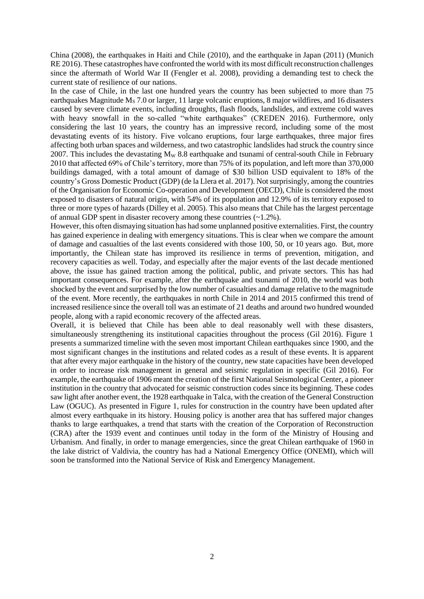China (2008), the earthquakes in Haiti and Chile (2010), and the earthquake in Japan (2011) (Munich RE 2016). These catastrophes have confronted the world with its most difficult reconstruction challenges since the aftermath of World War II (Fengler et al. 2008), providing a demanding test to check the current state of resilience of our nations.

In the case of Chile, in the last one hundred years the country has been subjected to more than 75 earthquakes Magnitude  $M_s$  7.0 or larger, 11 large volcanic eruptions, 8 major wildfires, and 16 disasters caused by severe climate events, including droughts, flash floods, landslides, and extreme cold waves with heavy snowfall in the so-called "white earthquakes" (CREDEN 2016). Furthermore, only considering the last 10 years, the country has an impressive record, including some of the most devastating events of its history. Five volcano eruptions, four large earthquakes, three major fires affecting both urban spaces and wilderness, and two catastrophic landslides had struck the country since 2007. This includes the devastating  $M_W$  8.8 earthquake and tsunami of central-south Chile in February 2010 that affected 69% of Chile's territory, more than 75% of its population, and left more than 370,000 buildings damaged, with a total amount of damage of \$30 billion USD equivalent to 18% of the country's Gross Domestic Product (GDP) (de la Llera et al. 2017). Not surprisingly, among the countries of the Organisation for Economic Co-operation and Development (OECD), Chile is considered the most exposed to disasters of natural origin, with 54% of its population and 12.9% of its territory exposed to three or more types of hazards (Dilley et al. 2005). This also means that Chile has the largest percentage of annual GDP spent in disaster recovery among these countries (~1.2%).

However, this often dismaying situation has had some unplanned positive externalities. First, the country has gained experience in dealing with emergency situations. This is clear when we compare the amount of damage and casualties of the last events considered with those 100, 50, or 10 years ago. But, more importantly, the Chilean state has improved its resilience in terms of prevention, mitigation, and recovery capacities as well. Today, and especially after the major events of the last decade mentioned above, the issue has gained traction among the political, public, and private sectors. This has had important consequences. For example, after the earthquake and tsunami of 2010, the world was both shocked by the event and surprised by the low number of casualties and damage relative to the magnitude of the event. More recently, the earthquakes in north Chile in 2014 and 2015 confirmed this trend of increased resilience since the overall toll was an estimate of 21 deaths and around two hundred wounded people, along with a rapid economic recovery of the affected areas.

Overall, it is believed that Chile has been able to deal reasonably well with these disasters, simultaneously strengthening its institutional capacities throughout the process (Gil 2016). Figure 1 presents a summarized timeline with the seven most important Chilean earthquakes since 1900, and the most significant changes in the institutions and related codes as a result of these events. It is apparent that after every major earthquake in the history of the country, new state capacities have been developed in order to increase risk management in general and seismic regulation in specific (Gil 2016). For example, the earthquake of 1906 meant the creation of the first National Seismological Center, a pioneer institution in the country that advocated for seismic construction codes since its beginning. These codes saw light after another event, the 1928 earthquake in Talca, with the creation of the General Construction Law (OGUC). As presented in Figure 1, rules for construction in the country have been updated after almost every earthquake in its history. Housing policy is another area that has suffered major changes thanks to large earthquakes, a trend that starts with the creation of the Corporation of Reconstruction (CRA) after the 1939 event and continues until today in the form of the Ministry of Housing and Urbanism. And finally, in order to manage emergencies, since the great Chilean earthquake of 1960 in the lake district of Valdivia, the country has had a National Emergency Office (ONEMI), which will soon be transformed into the National Service of Risk and Emergency Management.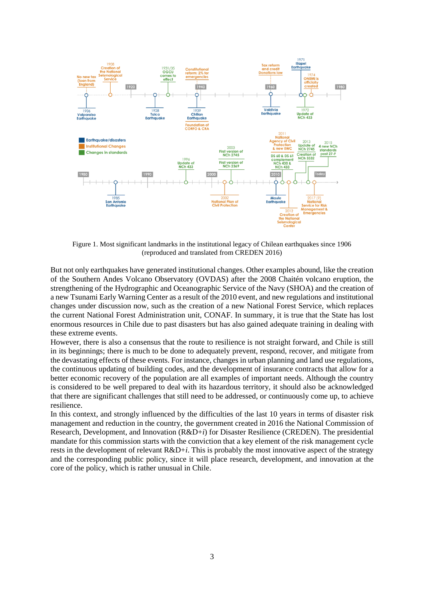

Figure 1. Most significant landmarks in the institutional legacy of Chilean earthquakes since 1906 (reproduced and translated from CREDEN 2016)

But not only earthquakes have generated institutional changes. Other examples abound, like the creation of the Southern Andes Volcano Observatory (OVDAS) after the 2008 Chaitén volcano eruption, the strengthening of the Hydrographic and Oceanographic Service of the Navy (SHOA) and the creation of a new Tsunami Early Warning Center as a result of the 2010 event, and new regulations and institutional changes under discussion now, such as the creation of a new National Forest Service, which replaces the current National Forest Administration unit, CONAF. In summary, it is true that the State has lost enormous resources in Chile due to past disasters but has also gained adequate training in dealing with these extreme events.

However, there is also a consensus that the route to resilience is not straight forward, and Chile is still in its beginnings; there is much to be done to adequately prevent, respond, recover, and mitigate from the devastating effects of these events. For instance, changes in urban planning and land use regulations, the continuous updating of building codes, and the development of insurance contracts that allow for a better economic recovery of the population are all examples of important needs. Although the country is considered to be well prepared to deal with its hazardous territory, it should also be acknowledged that there are significant challenges that still need to be addressed, or continuously come up, to achieve resilience.

In this context, and strongly influenced by the difficulties of the last 10 years in terms of disaster risk management and reduction in the country, the government created in 2016 the National Commission of Research, Development, and Innovation (R&D+*i*) for Disaster Resilience (CREDEN). The presidential mandate for this commission starts with the conviction that a key element of the risk management cycle rests in the development of relevant R&D+*i*. This is probably the most innovative aspect of the strategy and the corresponding public policy, since it will place research, development, and innovation at the core of the policy, which is rather unusual in Chile.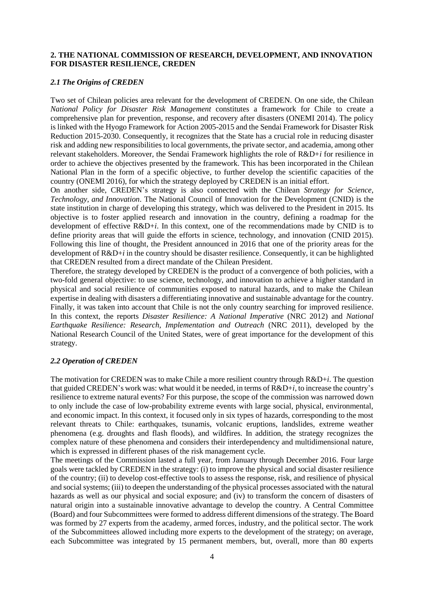### **2. THE NATIONAL COMMISSION OF RESEARCH, DEVELOPMENT, AND INNOVATION FOR DISASTER RESILIENCE, CREDEN**

### *2.1 The Origins of CREDEN*

Two set of Chilean policies area relevant for the development of CREDEN. On one side, the Chilean *National Policy for Disaster Risk Management* constitutes a framework for Chile to create a comprehensive plan for prevention, response, and recovery after disasters (ONEMI 2014). The policy is linked with the Hyogo Framework for Action 2005-2015 and the Sendai Framework for Disaster Risk Reduction 2015-2030. Consequently, it recognizes that the State has a crucial role in reducing disaster risk and adding new responsibilities to local governments, the private sector, and academia, among other relevant stakeholders. Moreover, the Sendai Framework highlights the role of R&D+*i* for resilience in order to achieve the objectives presented by the framework. This has been incorporated in the Chilean National Plan in the form of a specific objective, to further develop the scientific capacities of the country (ONEMI 2016), for which the strategy deployed by CREDEN is an initial effort.

On another side, CREDEN's strategy is also connected with the Chilean *Strategy for Science, Technology, and Innovation*. The National Council of Innovation for the Development (CNID) is the state institution in charge of developing this strategy, which was delivered to the President in 2015. Its objective is to foster applied research and innovation in the country, defining a roadmap for the development of effective R&D+*i*. In this context, one of the recommendations made by CNID is to define priority areas that will guide the efforts in science, technology, and innovation (CNID 2015). Following this line of thought, the President announced in 2016 that one of the priority areas for the development of R&D+*i* in the country should be disaster resilience. Consequently, it can be highlighted that CREDEN resulted from a direct mandate of the Chilean President.

Therefore, the strategy developed by CREDEN is the product of a convergence of both policies, with a two-fold general objective: to use science, technology, and innovation to achieve a higher standard in physical and social resilience of communities exposed to natural hazards, and to make the Chilean expertise in dealing with disasters a differentiating innovative and sustainable advantage for the country. Finally, it was taken into account that Chile is not the only country searching for improved resilience. In this context, the reports *Disaster Resilience: A National Imperative* (NRC 2012) and *National Earthquake Resilience: Research, Implementation and Outreach* (NRC 2011), developed by the National Research Council of the United States, were of great importance for the development of this strategy.

### *2.2 Operation of CREDEN*

The motivation for CREDEN was to make Chile a more resilient country through R&D+*i*. The question that guided CREDEN's work was: what would it be needed, in terms of R&D+*i*, to increase the country's resilience to extreme natural events? For this purpose, the scope of the commission was narrowed down to only include the case of low-probability extreme events with large social, physical, environmental, and economic impact. In this context, it focused only in six types of hazards, corresponding to the most relevant threats to Chile: earthquakes, tsunamis, volcanic eruptions, landslides, extreme weather phenomena (e.g. droughts and flash floods), and wildfires. In addition, the strategy recognizes the complex nature of these phenomena and considers their interdependency and multidimensional nature, which is expressed in different phases of the risk management cycle.

The meetings of the Commission lasted a full year, from January through December 2016. Four large goals were tackled by CREDEN in the strategy: (i) to improve the physical and social disaster resilience of the country; (ii) to develop cost-effective tools to assess the response, risk, and resilience of physical and social systems; (iii) to deepen the understanding of the physical processes associated with the natural hazards as well as our physical and social exposure; and (iv) to transform the concern of disasters of natural origin into a sustainable innovative advantage to develop the country. A Central Committee (Board) and four Subcommittees were formed to address different dimensions of the strategy. The Board was formed by 27 experts from the academy, armed forces, industry, and the political sector. The work of the Subcommittees allowed including more experts to the development of the strategy; on average, each Subcommittee was integrated by 15 permanent members, but, overall, more than 80 experts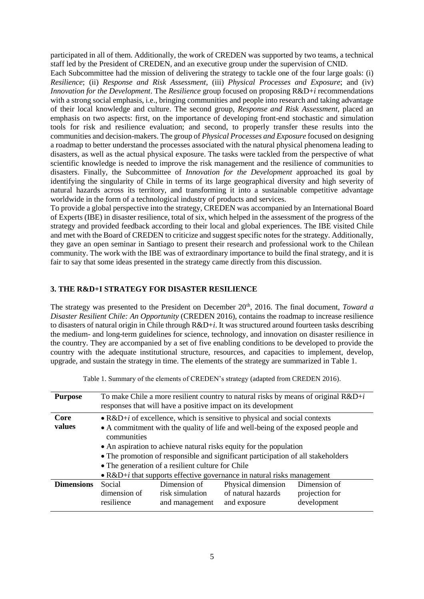participated in all of them. Additionally, the work of CREDEN was supported by two teams, a technical staff led by the President of CREDEN, and an executive group under the supervision of CNID.

Each Subcommittee had the mission of delivering the strategy to tackle one of the four large goals: (i) *Resilience*; (ii) *Response and Risk Assessment*, (iii) *Physical Processes and Exposure*; and (iv) *Innovation for the Development*. The *Resilience* group focused on proposing R&D+*i* recommendations with a strong social emphasis, i.e., bringing communities and people into research and taking advantage of their local knowledge and culture. The second group, *Response and Risk Assessment*, placed an emphasis on two aspects: first, on the importance of developing front-end stochastic and simulation tools for risk and resilience evaluation; and second, to properly transfer these results into the communities and decision-makers. The group of *Physical Processes and Exposure* focused on designing a roadmap to better understand the processes associated with the natural physical phenomena leading to disasters, as well as the actual physical exposure. The tasks were tackled from the perspective of what scientific knowledge is needed to improve the risk management and the resilience of communities to disasters. Finally, the Subcommittee of *Innovation for the Development* approached its goal by identifying the singularity of Chile in terms of its large geographical diversity and high severity of natural hazards across its territory, and transforming it into a sustainable competitive advantage worldwide in the form of a technological industry of products and services.

To provide a global perspective into the strategy, CREDEN was accompanied by an International Board of Experts (IBE) in disaster resilience, total of six, which helped in the assessment of the progress of the strategy and provided feedback according to their local and global experiences. The IBE visited Chile and met with the Board of CREDEN to criticize and suggest specific notes for the strategy. Additionally, they gave an open seminar in Santiago to present their research and professional work to the Chilean community. The work with the IBE was of extraordinary importance to build the final strategy, and it is fair to say that some ideas presented in the strategy came directly from this discussion.

### **3. THE R&D+I STRATEGY FOR DISASTER RESILIENCE**

The strategy was presented to the President on December 20<sup>th</sup>, 2016. The final document, *Toward a Disaster Resilient Chile: An Opportunity* (CREDEN 2016), contains the roadmap to increase resilience to disasters of natural origin in Chile through R&D+*i*. It was structured around fourteen tasks describing the medium- and long-term guidelines for science, technology, and innovation on disaster resilience in the country. They are accompanied by a set of five enabling conditions to be developed to provide the country with the adequate institutional structure, resources, and capacities to implement, develop, upgrade, and sustain the strategy in time. The elements of the strategy are summarized in Table 1.

| <b>Purpose</b>    | To make Chile a more resilient country to natural risks by means of original $R\&D+i$<br>responses that will have a positive impact on its development |                                   |                                    |                               |  |
|-------------------|--------------------------------------------------------------------------------------------------------------------------------------------------------|-----------------------------------|------------------------------------|-------------------------------|--|
| Core              | $\bullet$ R&D+ <i>i</i> of excellence, which is sensitive to physical and social contexts                                                              |                                   |                                    |                               |  |
| values            | • A commitment with the quality of life and well-being of the exposed people and<br>communities                                                        |                                   |                                    |                               |  |
|                   | • An aspiration to achieve natural risks equity for the population<br>• The promotion of responsible and significant participation of all stakeholders |                                   |                                    |                               |  |
|                   |                                                                                                                                                        |                                   |                                    |                               |  |
|                   | • The generation of a resilient culture for Chile<br>• $R\&D+i$ that supports effective governance in natural risks management                         |                                   |                                    |                               |  |
|                   |                                                                                                                                                        |                                   |                                    |                               |  |
| <b>Dimensions</b> | Social                                                                                                                                                 | Dimension of                      | Physical dimension                 | Dimension of                  |  |
|                   | dimension of<br>resilience                                                                                                                             | risk simulation<br>and management | of natural hazards<br>and exposure | projection for<br>development |  |

Table 1. Summary of the elements of CREDEN's strategy (adapted from CREDEN 2016).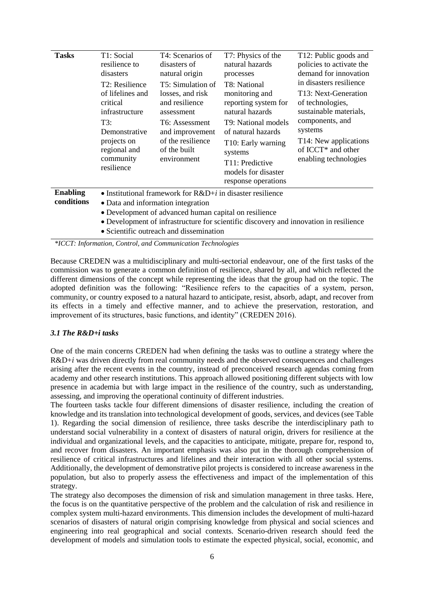| <b>Tasks</b>                  | T1: Social<br>resilience to<br>disasters<br>T2: Resilience<br>of lifelines and<br>critical<br>infrastructure<br>T3:<br>Demonstrative<br>projects on<br>regional and<br>community<br>resilience | T4: Scenarios of<br>disasters of<br>natural origin<br>T5: Simulation of<br>losses, and risk<br>and resilience<br>assessment<br>T6: Assessment<br>and improvement<br>of the resilience<br>of the built<br>environment | T7: Physics of the<br>natural hazards<br>processes<br>T8: National<br>monitoring and<br>reporting system for<br>natural hazards<br>T9: National models<br>of natural hazards<br>T10: Early warning<br>systems<br>T11: Predictive<br>models for disaster<br>response operations | T12: Public goods and<br>policies to activate the<br>demand for innovation<br>in disasters resilience<br>T13: Next-Generation<br>of technologies,<br>sustainable materials,<br>components, and<br>systems<br>T14: New applications<br>of ICCT <sup>*</sup> and other<br>enabling technologies |  |
|-------------------------------|------------------------------------------------------------------------------------------------------------------------------------------------------------------------------------------------|----------------------------------------------------------------------------------------------------------------------------------------------------------------------------------------------------------------------|--------------------------------------------------------------------------------------------------------------------------------------------------------------------------------------------------------------------------------------------------------------------------------|-----------------------------------------------------------------------------------------------------------------------------------------------------------------------------------------------------------------------------------------------------------------------------------------------|--|
| <b>Enabling</b><br>conditions | • Institutional framework for $R&D+i$ in disaster resilience<br>• Data and information integration<br>• Development of advanced human capital on resilience                                    |                                                                                                                                                                                                                      |                                                                                                                                                                                                                                                                                |                                                                                                                                                                                                                                                                                               |  |
|                               |                                                                                                                                                                                                |                                                                                                                                                                                                                      | • Development of infrastructure for scientific discovery and innovation in resilience                                                                                                                                                                                          |                                                                                                                                                                                                                                                                                               |  |

• Scientific outreach and dissemination

*\*ICCT: Information, Control, and Communication Technologies*

Because CREDEN was a multidisciplinary and multi-sectorial endeavour, one of the first tasks of the commission was to generate a common definition of resilience, shared by all, and which reflected the different dimensions of the concept while representing the ideas that the group had on the topic. The adopted definition was the following: "Resilience refers to the capacities of a system, person, community, or country exposed to a natural hazard to anticipate, resist, absorb, adapt, and recover from its effects in a timely and effective manner, and to achieve the preservation, restoration, and improvement of its structures, basic functions, and identity" (CREDEN 2016).

### *3.1 The R&D+i tasks*

One of the main concerns CREDEN had when defining the tasks was to outline a strategy where the R&D+*i* was driven directly from real community needs and the observed consequences and challenges arising after the recent events in the country, instead of preconceived research agendas coming from academy and other research institutions. This approach allowed positioning different subjects with low presence in academia but with large impact in the resilience of the country, such as understanding, assessing, and improving the operational continuity of different industries.

The fourteen tasks tackle four different dimensions of disaster resilience, including the creation of knowledge and its translation into technological development of goods, services, and devices (see Table 1). Regarding the social dimension of resilience, three tasks describe the interdisciplinary path to understand social vulnerability in a context of disasters of natural origin, drivers for resilience at the individual and organizational levels, and the capacities to anticipate, mitigate, prepare for, respond to, and recover from disasters. An important emphasis was also put in the thorough comprehension of resilience of critical infrastructures and lifelines and their interaction with all other social systems. Additionally, the development of demonstrative pilot projects is considered to increase awareness in the population, but also to properly assess the effectiveness and impact of the implementation of this strategy.

The strategy also decomposes the dimension of risk and simulation management in three tasks. Here, the focus is on the quantitative perspective of the problem and the calculation of risk and resilience in complex system multi-hazard environments. This dimension includes the development of multi-hazard scenarios of disasters of natural origin comprising knowledge from physical and social sciences and engineering into real geographical and social contexts. Scenario-driven research should feed the development of models and simulation tools to estimate the expected physical, social, economic, and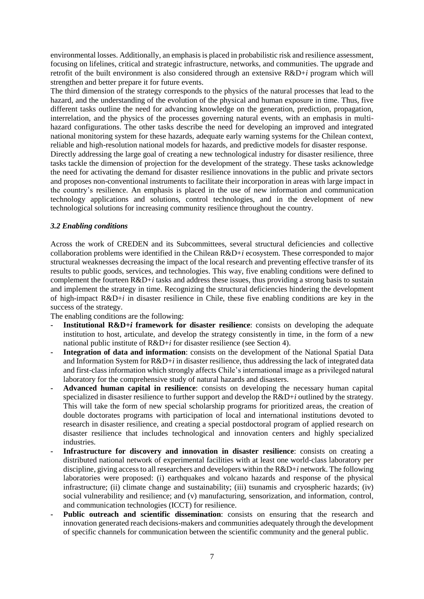environmental losses. Additionally, an emphasis is placed in probabilistic risk and resilience assessment, focusing on lifelines, critical and strategic infrastructure, networks, and communities. The upgrade and retrofit of the built environment is also considered through an extensive R&D+*i* program which will strengthen and better prepare it for future events.

The third dimension of the strategy corresponds to the physics of the natural processes that lead to the hazard, and the understanding of the evolution of the physical and human exposure in time. Thus, five different tasks outline the need for advancing knowledge on the generation, prediction, propagation, interrelation, and the physics of the processes governing natural events, with an emphasis in multihazard configurations. The other tasks describe the need for developing an improved and integrated national monitoring system for these hazards, adequate early warning systems for the Chilean context, reliable and high-resolution national models for hazards, and predictive models for disaster response.

Directly addressing the large goal of creating a new technological industry for disaster resilience, three tasks tackle the dimension of projection for the development of the strategy. These tasks acknowledge the need for activating the demand for disaster resilience innovations in the public and private sectors and proposes non-conventional instruments to facilitate their incorporation in areas with large impact in the country's resilience. An emphasis is placed in the use of new information and communication technology applications and solutions, control technologies, and in the development of new technological solutions for increasing community resilience throughout the country.

# *3.2 Enabling conditions*

Across the work of CREDEN and its Subcommittees, several structural deficiencies and collective collaboration problems were identified in the Chilean R&D+*i* ecosystem. These corresponded to major structural weaknesses decreasing the impact of the local research and preventing effective transfer of its results to public goods, services, and technologies. This way, five enabling conditions were defined to complement the fourteen R&D+*i* tasks and address these issues, thus providing a strong basis to sustain and implement the strategy in time. Recognizing the structural deficiencies hindering the development of high-impact R&D+*i* in disaster resilience in Chile, these five enabling conditions are key in the success of the strategy.

The enabling conditions are the following:

- **- Institutional R&D+***i* **framework for disaster resilience**: consists on developing the adequate institution to host, articulate, and develop the strategy consistently in time, in the form of a new national public institute of R&D+*i* for disaster resilience (see Section 4).
- **- Integration of data and information**: consists on the development of the National Spatial Data and Information System for R&D+*i* in disaster resilience, thus addressing the lack of integrated data and first-class information which strongly affects Chile's international image as a privileged natural laboratory for the comprehensive study of natural hazards and disasters.
- **- Advanced human capital in resilience**: consists on developing the necessary human capital specialized in disaster resilience to further support and develop the R&D+*i* outlined by the strategy. This will take the form of new special scholarship programs for prioritized areas, the creation of double doctorates programs with participation of local and international institutions devoted to research in disaster resilience, and creating a special postdoctoral program of applied research on disaster resilience that includes technological and innovation centers and highly specialized industries.
- **- Infrastructure for discovery and innovation in disaster resilience**: consists on creating a distributed national network of experimental facilities with at least one world-class laboratory per discipline, giving access to all researchers and developers within the R&D+*i* network. The following laboratories were proposed: (i) earthquakes and volcano hazards and response of the physical infrastructure; (ii) climate change and sustainability; (iii) tsunamis and cryospheric hazards; (iv) social vulnerability and resilience; and (v) manufacturing, sensorization, and information, control, and communication technologies (ICCT) for resilience.
- **- Public outreach and scientific dissemination**: consists on ensuring that the research and innovation generated reach decisions-makers and communities adequately through the development of specific channels for communication between the scientific community and the general public.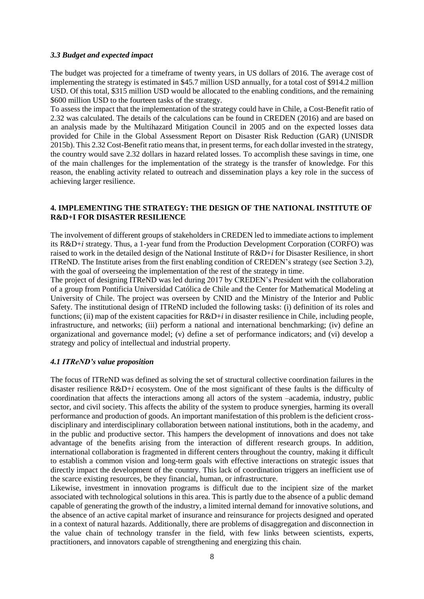#### *3.3 Budget and expected impact*

The budget was projected for a timeframe of twenty years, in US dollars of 2016. The average cost of implementing the strategy is estimated in \$45.7 million USD annually, for a total cost of \$914.2 million USD. Of this total, \$315 million USD would be allocated to the enabling conditions, and the remaining \$600 million USD to the fourteen tasks of the strategy.

To assess the impact that the implementation of the strategy could have in Chile, a Cost-Benefit ratio of 2.32 was calculated. The details of the calculations can be found in CREDEN (2016) and are based on an analysis made by the Multihazard Mitigation Council in 2005 and on the expected losses data provided for Chile in the Global Assessment Report on Disaster Risk Reduction (GAR) (UNISDR 2015b). This 2.32 Cost-Benefit ratio means that, in present terms, for each dollar invested in the strategy, the country would save 2.32 dollars in hazard related losses. To accomplish these savings in time, one of the main challenges for the implementation of the strategy is the transfer of knowledge. For this reason, the enabling activity related to outreach and dissemination plays a key role in the success of achieving larger resilience.

### **4. IMPLEMENTING THE STRATEGY: THE DESIGN OF THE NATIONAL INSTITUTE OF R&D+I FOR DISASTER RESILIENCE**

The involvement of different groups of stakeholders in CREDEN led to immediate actions to implement its R&D+*i* strategy. Thus, a 1-year fund from the Production Development Corporation (CORFO) was raised to work in the detailed design of the National Institute of R&D+*i* for Disaster Resilience, in short ITReND. The Institute arises from the first enabling condition of CREDEN's strategy (see Section 3.2), with the goal of overseeing the implementation of the rest of the strategy in time.

The project of designing ITReND was led during 2017 by CREDEN's President with the collaboration of a group from Pontificia Universidad Católica de Chile and the Center for Mathematical Modeling at University of Chile. The project was overseen by CNID and the Ministry of the Interior and Public Safety. The institutional design of ITReND included the following tasks: (i) definition of its roles and functions; (ii) map of the existent capacities for  $R&D+i$  in disaster resilience in Chile, including people, infrastructure, and networks; (iii) perform a national and international benchmarking; (iv) define an organizational and governance model; (v) define a set of performance indicators; and (vi) develop a strategy and policy of intellectual and industrial property.

### *4.1 ITReND's value proposition*

The focus of ITReND was defined as solving the set of structural collective coordination failures in the disaster resilience R&D+*i* ecosystem. One of the most significant of these faults is the difficulty of coordination that affects the interactions among all actors of the system –academia, industry, public sector, and civil society. This affects the ability of the system to produce synergies, harming its overall performance and production of goods. An important manifestation of this problem is the deficient crossdisciplinary and interdisciplinary collaboration between national institutions, both in the academy, and in the public and productive sector. This hampers the development of innovations and does not take advantage of the benefits arising from the interaction of different research groups. In addition, international collaboration is fragmented in different centers throughout the country, making it difficult to establish a common vision and long-term goals with effective interactions on strategic issues that directly impact the development of the country. This lack of coordination triggers an inefficient use of the scarce existing resources, be they financial, human, or infrastructure.

Likewise, investment in innovation programs is difficult due to the incipient size of the market associated with technological solutions in this area. This is partly due to the absence of a public demand capable of generating the growth of the industry, a limited internal demand for innovative solutions, and the absence of an active capital market of insurance and reinsurance for projects designed and operated in a context of natural hazards. Additionally, there are problems of disaggregation and disconnection in the value chain of technology transfer in the field, with few links between scientists, experts, practitioners, and innovators capable of strengthening and energizing this chain.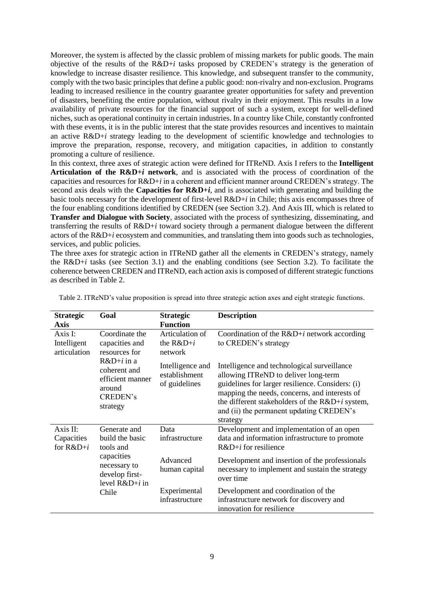Moreover, the system is affected by the classic problem of missing markets for public goods. The main objective of the results of the R&D+*i* tasks proposed by CREDEN's strategy is the generation of knowledge to increase disaster resilience. This knowledge, and subsequent transfer to the community, comply with the two basic principles that define a public good: non-rivalry and non-exclusion. Programs leading to increased resilience in the country guarantee greater opportunities for safety and prevention of disasters, benefiting the entire population, without rivalry in their enjoyment. This results in a low availability of private resources for the financial support of such a system, except for well-defined niches, such as operational continuity in certain industries. In a country like Chile, constantly confronted with these events, it is in the public interest that the state provides resources and incentives to maintain an active R&D+*i* strategy leading to the development of scientific knowledge and technologies to improve the preparation, response, recovery, and mitigation capacities, in addition to constantly promoting a culture of resilience.

In this context, three axes of strategic action were defined for ITReND. Axis I refers to the **Intelligent Articulation of the R&D+***i* **network**, and is associated with the process of coordination of the capacities and resources for R&D+*i* in a coherent and efficient manner around CREDEN's strategy. The second axis deals with the **Capacities for R&D+***i*, and is associated with generating and building the basic tools necessary for the development of first-level R&D+*i* in Chile; this axis encompasses three of the four enabling conditions identified by CREDEN (see Section 3.2). And Axis III, which is related to **Transfer and Dialogue with Society**, associated with the process of synthesizing, disseminating, and transferring the results of R&D+*i* toward society through a permanent dialogue between the different actors of the R&D+*i* ecosystem and communities, and translating them into goods such as technologies, services, and public policies.

The three axes for strategic action in ITReND gather all the elements in CREDEN's strategy, namely the R&D+*i* tasks (see Section 3.1) and the enabling conditions (see Section 3.2). To facilitate the coherence between CREDEN and ITReND, each action axis is composed of different strategic functions as described in Table 2.

| <b>Strategic</b><br><b>Axis</b>                                                                                                                                                          | Goal                                                                                                                      | <b>Strategic</b><br><b>Function</b>                                                                                                                                                                                                                                                                   | <b>Description</b>                                                                                                    |
|------------------------------------------------------------------------------------------------------------------------------------------------------------------------------------------|---------------------------------------------------------------------------------------------------------------------------|-------------------------------------------------------------------------------------------------------------------------------------------------------------------------------------------------------------------------------------------------------------------------------------------------------|-----------------------------------------------------------------------------------------------------------------------|
| Coordinate the<br>Axis I:<br>capacities and<br>Intelligent<br>articulation<br>resources for<br>$R&D+i$ in a<br>coherent and<br>efficient manner<br>around<br><b>CREDEN's</b><br>strategy |                                                                                                                           | Articulation of<br>the $R&D+i$<br>network                                                                                                                                                                                                                                                             | Coordination of the $R&D+i$ network according<br>to CREDEN's strategy                                                 |
|                                                                                                                                                                                          | Intelligence and<br>establishment<br>of guidelines                                                                        | Intelligence and technological surveillance<br>allowing ITReND to deliver long-term<br>guidelines for larger resilience. Considers: (i)<br>mapping the needs, concerns, and interests of<br>the different stakeholders of the $R&D+i$ system,<br>and (ii) the permanent updating CREDEN's<br>strategy |                                                                                                                       |
| Axis II:<br>Capacities<br>for $R&D+i$                                                                                                                                                    | Generate and<br>build the basic<br>tools and<br>capacities<br>necessary to<br>develop first-<br>level $R&D+i$ in<br>Chile | Data<br>infrastructure                                                                                                                                                                                                                                                                                | Development and implementation of an open<br>data and information infrastructure to promote<br>$R&D+i$ for resilience |
|                                                                                                                                                                                          |                                                                                                                           | Advanced<br>human capital                                                                                                                                                                                                                                                                             | Development and insertion of the professionals<br>necessary to implement and sustain the strategy<br>over time        |
|                                                                                                                                                                                          |                                                                                                                           | Experimental<br>infrastructure                                                                                                                                                                                                                                                                        | Development and coordination of the<br>infrastructure network for discovery and<br>innovation for resilience          |

Table 2. ITReND's value proposition is spread into three strategic action axes and eight strategic functions.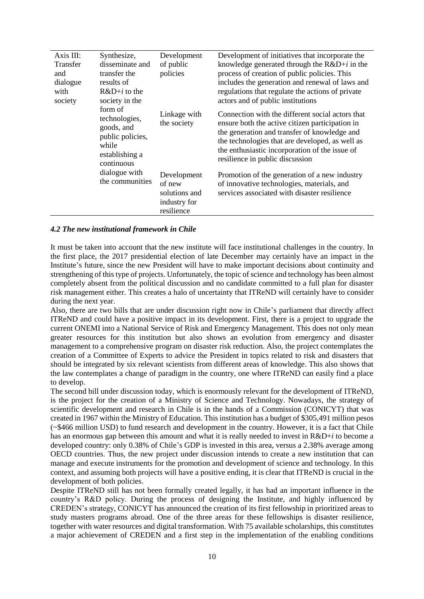| Axis III:       | Synthesize,                                                                                                                                               | Development                                            | Development of initiatives that incorporate the                                                                                                                                                                                                                                             |
|-----------------|-----------------------------------------------------------------------------------------------------------------------------------------------------------|--------------------------------------------------------|---------------------------------------------------------------------------------------------------------------------------------------------------------------------------------------------------------------------------------------------------------------------------------------------|
| <b>Transfer</b> | disseminate and                                                                                                                                           | of public                                              | knowledge generated through the $R&D+i$ in the                                                                                                                                                                                                                                              |
| and             | transfer the                                                                                                                                              | policies                                               | process of creation of public policies. This                                                                                                                                                                                                                                                |
| dialogue        | results of                                                                                                                                                |                                                        | includes the generation and renewal of laws and                                                                                                                                                                                                                                             |
| with            | $R&D+i$ to the                                                                                                                                            |                                                        | regulations that regulate the actions of private                                                                                                                                                                                                                                            |
| society         | society in the<br>form of<br>technologies,<br>goods, and<br>public policies,<br>while<br>establishing a<br>continuous<br>dialogue with<br>the communities |                                                        | actors and of public institutions                                                                                                                                                                                                                                                           |
|                 |                                                                                                                                                           | Linkage with<br>the society                            | Connection with the different social actors that<br>ensure both the active citizen participation in<br>the generation and transfer of knowledge and<br>the technologies that are developed, as well as<br>the enthusiastic incorporation of the issue of<br>resilience in public discussion |
|                 |                                                                                                                                                           | Development<br>of new<br>solutions and<br>industry for | Promotion of the generation of a new industry<br>of innovative technologies, materials, and<br>services associated with disaster resilience                                                                                                                                                 |
|                 |                                                                                                                                                           | resilience                                             |                                                                                                                                                                                                                                                                                             |

#### *4.2 The new institutional framework in Chile*

It must be taken into account that the new institute will face institutional challenges in the country. In the first place, the 2017 presidential election of late December may certainly have an impact in the Institute's future, since the new President will have to make important decisions about continuity and strengthening of this type of projects. Unfortunately, the topic of science and technology has been almost completely absent from the political discussion and no candidate committed to a full plan for disaster risk management either. This creates a halo of uncertainty that ITReND will certainly have to consider during the next year.

Also, there are two bills that are under discussion right now in Chile's parliament that directly affect ITReND and could have a positive impact in its development. First, there is a project to upgrade the current ONEMI into a National Service of Risk and Emergency Management. This does not only mean greater resources for this institution but also shows an evolution from emergency and disaster management to a comprehensive program on disaster risk reduction. Also, the project contemplates the creation of a Committee of Experts to advice the President in topics related to risk and disasters that should be integrated by six relevant scientists from different areas of knowledge. This also shows that the law contemplates a change of paradigm in the country, one where ITReND can easily find a place to develop.

The second bill under discussion today, which is enormously relevant for the development of ITReND, is the project for the creation of a Ministry of Science and Technology. Nowadays, the strategy of scientific development and research in Chile is in the hands of a Commission (CONICYT) that was created in 1967 within the Ministry of Education. This institution has a budget of \$305,491 million pesos (~\$466 million USD) to fund research and development in the country. However, it is a fact that Chile has an enormous gap between this amount and what it is really needed to invest in R&D+*i* to become a developed country: only 0.38% of Chile's GDP is invested in this area, versus a 2.38% average among OECD countries. Thus, the new project under discussion intends to create a new institution that can manage and execute instruments for the promotion and development of science and technology. In this context, and assuming both projects will have a positive ending, it is clear that ITReND is crucial in the development of both policies.

Despite ITReND still has not been formally created legally, it has had an important influence in the country's R&D policy. During the process of designing the Institute, and highly influenced by CREDEN's strategy, CONICYT has announced the creation of its first fellowship in prioritized areas to study masters programs abroad. One of the three areas for these fellowships is disaster resilience, together with water resources and digital transformation. With 75 available scholarships, this constitutes a major achievement of CREDEN and a first step in the implementation of the enabling conditions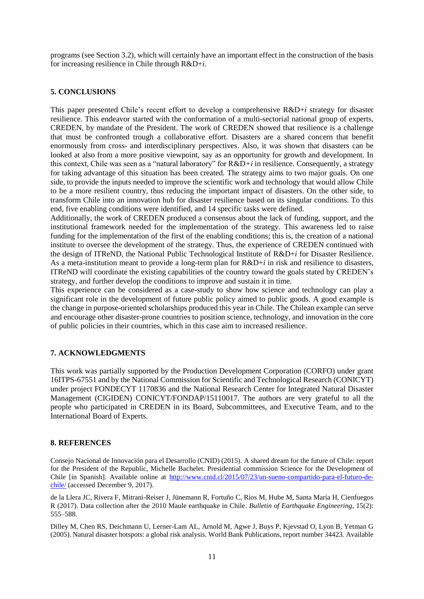programs (see Section 3.2), which will certainly have an important effect in the construction of the basis for increasing resilience in Chile through R&D+*i*.

### **5. CONCLUSIONS**

This paper presented Chile's recent effort to develop a comprehensive R&D+*i* strategy for disaster resilience. This endeavor started with the conformation of a multi-sectorial national group of experts, CREDEN, by mandate of the President. The work of CREDEN showed that resilience is a challenge that must be confronted trough a collaborative effort. Disasters are a shared concern that benefit enormously from cross- and interdisciplinary perspectives. Also, it was shown that disasters can be looked at also from a more positive viewpoint, say as an opportunity for growth and development. In this context, Chile was seen as a "natural laboratory" for R&D*+i* in resilience. Consequently, a strategy for taking advantage of this situation has been created. The strategy aims to two major goals. On one side, to provide the inputs needed to improve the scientific work and technology that would allow Chile to be a more resilient country, thus reducing the important impact of disasters. On the other side, to transform Chile into an innovation hub for disaster resilience based on its singular conditions. To this end, five enabling conditions were identified, and 14 specific tasks were defined.

Additionally, the work of CREDEN produced a consensus about the lack of funding, support, and the institutional framework needed for the implementation of the strategy. This awareness led to raise funding for the implementation of the first of the enabling conditions; this is, the creation of a national institute to oversee the development of the strategy. Thus, the experience of CREDEN continued with the design of ITReND, the National Public Technological Institute of R&D+*i* for Disaster Resilience. As a meta-institution meant to provide a long-term plan for R&D+*i* in risk and resilience to disasters, ITReND will coordinate the existing capabilities of the country toward the goals stated by CREDEN's strategy, and further develop the conditions to improve and sustain it in time.

This experience can be considered as a case-study to show how science and technology can play a significant role in the development of future public policy aimed to public goods. A good example is the change in purpose-oriented scholarships produced this year in Chile. The Chilean example can serve and encourage other disaster-prone countries to position science, technology, and innovation in the core of public policies in their countries, which in this case aim to increased resilience.

### **7. ACKNOWLEDGMENTS**

This work was partially supported by the Production Development Corporation (CORFO) under grant 16ITPS-67551 and by the National Commission for Scientific and Technological Research (CONICYT) under project FONDECYT 1170836 and the National Research Center for Integrated Natural Disaster Management (CIGIDEN) CONICYT/FONDAP/15110017. The authors are very grateful to all the people who participated in CREDEN in its Board, Subcommittees, and Executive Team, and to the International Board of Experts.

### **8. REFERENCES**

Consejo Nacional de Innovación para el Desarrollo (CNID) (2015). A shared dream for the future of Chile: report for the President of the Republic, Michelle Bachelet. Presidential commission Science for the Development of Chile [in Spanish]. Available online at [http://www.cnid.cl/2015/07/23/un-sueno-compartido-para-el-futuro-de](http://www.cnid.cl/2015/07/23/un-sueno-compartido-para-el-futuro-de-chile/)[chile/](http://www.cnid.cl/2015/07/23/un-sueno-compartido-para-el-futuro-de-chile/) (accessed December 9, 2017).

de la Llera JC, Rivera F, Mitrani-Reiser J, Jünemann R, Fortuño C, Ríos M, Hube M, Santa María H, Cienfuegos R (2017). Data collection after the 2010 Maule earthquake in Chile. *Bulletin of Earthquake Engineering*, 15(2): 555–588.

Dilley M, Chen RS, Deichmann U, Lerner-Lam AL, Arnold M, Agwe J, Buys P, Kjevstad O, Lyon B, Yetman G (2005). Natural disaster hotspots: a global risk analysis. World Bank Publications, report number 34423. Available